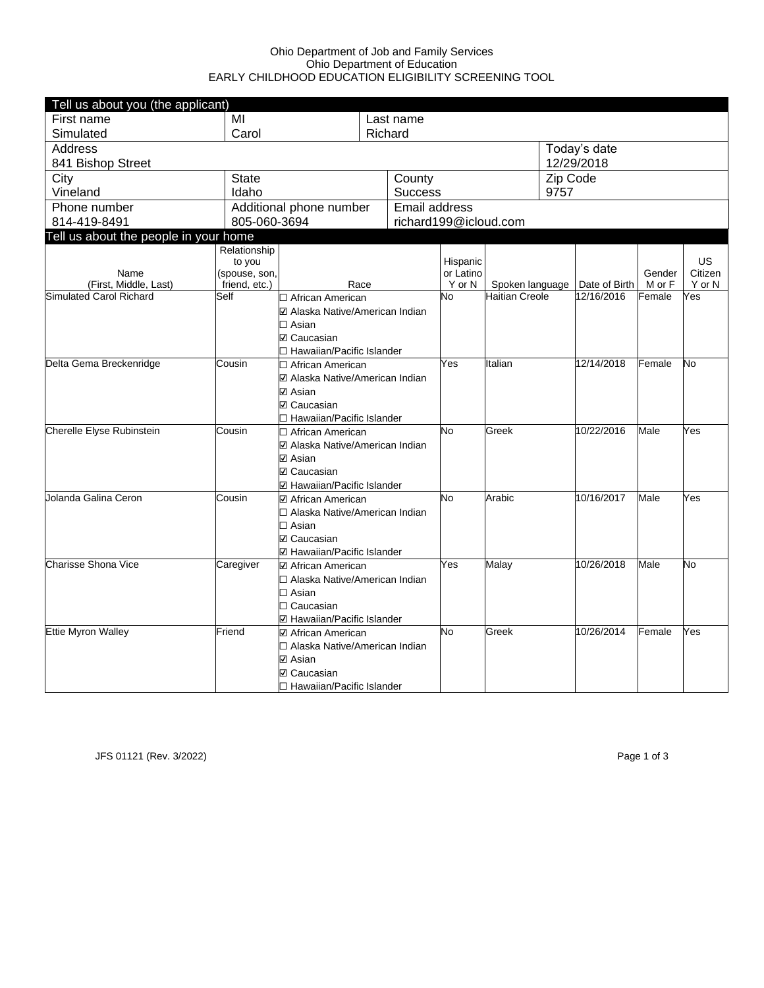## Ohio Department of Job and Family Services Ohio Department of Education EARLY CHILDHOOD EDUCATION ELIGIBILITY SCREENING TOOL

| Tell us about you (the applicant)                         |                              |                                                       |    |                |                       |                       |          |               |        |                      |
|-----------------------------------------------------------|------------------------------|-------------------------------------------------------|----|----------------|-----------------------|-----------------------|----------|---------------|--------|----------------------|
| First name                                                | MI                           |                                                       |    | Last name      |                       |                       |          |               |        |                      |
| Simulated                                                 | Carol                        |                                                       |    | Richard        |                       |                       |          |               |        |                      |
| <b>Address</b>                                            |                              |                                                       |    |                |                       |                       |          | Today's date  |        |                      |
| 841 Bishop Street                                         |                              |                                                       |    |                |                       |                       |          | 12/29/2018    |        |                      |
| City                                                      | <b>State</b>                 |                                                       |    | County         |                       |                       | Zip Code |               |        |                      |
| Vineland                                                  | Idaho                        |                                                       |    | <b>Success</b> |                       |                       | 9757     |               |        |                      |
| Phone number                                              | Additional phone number      |                                                       |    | Email address  |                       |                       |          |               |        |                      |
| 814-419-8491                                              |                              | 805-060-3694                                          |    |                | richard199@icloud.com |                       |          |               |        |                      |
| Tell us about the people in your home                     |                              |                                                       |    |                |                       |                       |          |               |        |                      |
|                                                           | Relationship                 |                                                       |    |                |                       |                       |          |               |        |                      |
| Name                                                      | to you<br>(spouse, son,      |                                                       |    |                | Hispanic<br>or Latino |                       |          |               | Gender | <b>US</b><br>Citizen |
| (First, Middle, Last)                                     | friend, etc.)                | Race                                                  |    |                | Y or N                | Spoken language       |          | Date of Birth | M or F | Y or N               |
| Simulated Carol Richard                                   | Self                         | □ African American                                    |    |                | No.                   | <b>Haitian Creole</b> |          | 12/16/2016    | Female | Yes                  |
|                                                           |                              | ☑ Alaska Native/American Indian                       |    |                |                       |                       |          |               |        |                      |
|                                                           |                              | $\Box$ Asian                                          |    |                |                       |                       |          |               |        |                      |
|                                                           |                              | <b>☑ Caucasian</b>                                    |    |                |                       |                       |          |               |        |                      |
|                                                           |                              | □ Hawaiian/Pacific Islander                           |    |                |                       |                       |          |               |        |                      |
| Delta Gema Breckenridge                                   | Cousin                       | □ African American                                    |    |                | Yes                   | Italian               |          | 12/14/2018    | Female | No                   |
|                                                           |                              | ☑ Alaska Native/American Indian                       |    |                |                       |                       |          |               |        |                      |
|                                                           |                              | ☑ Asian                                               |    |                |                       |                       |          |               |        |                      |
|                                                           |                              | <b>☑ Caucasian</b>                                    |    |                |                       |                       |          |               |        |                      |
|                                                           |                              | □ Hawaiian/Pacific Islander                           |    |                |                       |                       |          |               |        |                      |
| Cherelle Elyse Rubinstein<br>Cousin<br>□ African American |                              |                                                       | No | Greek          |                       | 10/22/2016            | Male     | Yes           |        |                      |
|                                                           |                              | ☑ Alaska Native/American Indian                       |    |                |                       |                       |          |               |        |                      |
|                                                           |                              | <b>☑</b> Asian                                        |    |                |                       |                       |          |               |        |                      |
|                                                           |                              | <b>☑ Caucasian</b>                                    |    |                |                       |                       |          |               |        |                      |
| Jolanda Galina Ceron                                      | Cousin                       | ☑ Hawaiian/Pacific Islander                           |    |                | No                    | Arabic                |          | 10/16/2017    | Male   | Yes                  |
|                                                           |                              | ☑ African American<br>□ Alaska Native/American Indian |    |                |                       |                       |          |               |        |                      |
|                                                           |                              | $\Box$ Asian                                          |    |                |                       |                       |          |               |        |                      |
|                                                           |                              | <b>☑ Caucasian</b>                                    |    |                |                       |                       |          |               |        |                      |
|                                                           |                              | ☑ Hawaiian/Pacific Islander                           |    |                |                       |                       |          |               |        |                      |
| <b>Charisse Shona Vice</b>                                | Caregiver                    | ☑ African American                                    |    |                | Yes                   | Malay                 |          | 10/26/2018    | Male   | No                   |
|                                                           |                              | □ Alaska Native/American Indian                       |    |                |                       |                       |          |               |        |                      |
|                                                           |                              | $\Box$ Asian                                          |    |                |                       |                       |          |               |        |                      |
|                                                           |                              | $\Box$ Caucasian                                      |    |                |                       |                       |          |               |        |                      |
|                                                           |                              | ☑ Hawaiian/Pacific Islander                           |    |                |                       |                       |          |               |        |                      |
| <b>Ettie Myron Walley</b>                                 | Friend<br>☑ African American |                                                       |    |                | No                    | Greek                 |          | 10/26/2014    | Female | Yes                  |
|                                                           |                              | □ Alaska Native/American Indian                       |    |                |                       |                       |          |               |        |                      |
|                                                           |                              | ☑ Asian                                               |    |                |                       |                       |          |               |        |                      |
|                                                           |                              | <b>☑ Caucasian</b>                                    |    |                |                       |                       |          |               |        |                      |
|                                                           |                              | □ Hawaiian/Pacific Islander                           |    |                |                       |                       |          |               |        |                      |

JFS 01121 (Rev. 3/2022) Page 1 of 3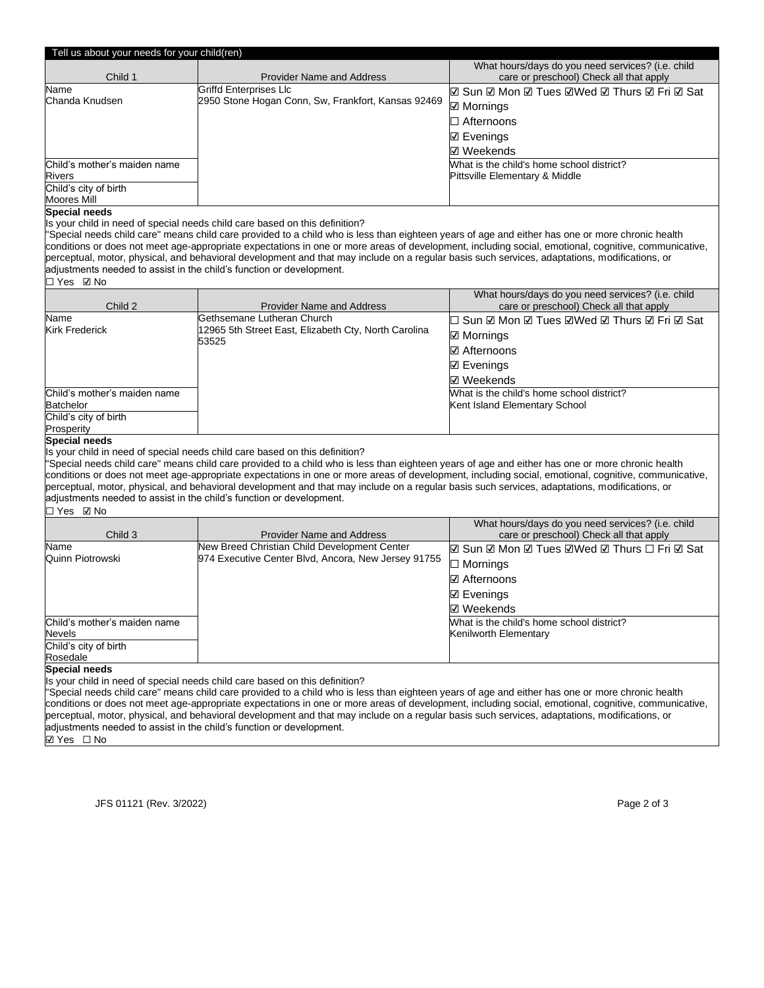| Tell us about your needs for your child(ren)                         |                                                                                                                                                                                                                                 |                                                                                                                                                      |  |  |
|----------------------------------------------------------------------|---------------------------------------------------------------------------------------------------------------------------------------------------------------------------------------------------------------------------------|------------------------------------------------------------------------------------------------------------------------------------------------------|--|--|
|                                                                      |                                                                                                                                                                                                                                 | What hours/days do you need services? (i.e. child                                                                                                    |  |  |
| Child 1                                                              | <b>Provider Name and Address</b>                                                                                                                                                                                                | care or preschool) Check all that apply                                                                                                              |  |  |
| Name                                                                 | <b>Griffd Enterprises Llc</b>                                                                                                                                                                                                   | <b>Ø Sun Ø Mon Ø Tues ØWed Ø Thurs Ø Fri Ø Sat</b>                                                                                                   |  |  |
| Chanda Knudsen                                                       | 2950 Stone Hogan Conn, Sw, Frankfort, Kansas 92469                                                                                                                                                                              | $\boxtimes$ Mornings                                                                                                                                 |  |  |
|                                                                      |                                                                                                                                                                                                                                 | $\Box$ Afternoons                                                                                                                                    |  |  |
|                                                                      |                                                                                                                                                                                                                                 | <b>☑ Evenings</b>                                                                                                                                    |  |  |
|                                                                      |                                                                                                                                                                                                                                 |                                                                                                                                                      |  |  |
|                                                                      |                                                                                                                                                                                                                                 | <b>☑</b> Weekends                                                                                                                                    |  |  |
| Child's mother's maiden name                                         |                                                                                                                                                                                                                                 | What is the child's home school district?                                                                                                            |  |  |
| Rivers<br>Child's city of birth                                      |                                                                                                                                                                                                                                 | Pittsville Elementary & Middle                                                                                                                       |  |  |
| Moores Mill                                                          |                                                                                                                                                                                                                                 |                                                                                                                                                      |  |  |
| <b>Special needs</b>                                                 |                                                                                                                                                                                                                                 |                                                                                                                                                      |  |  |
|                                                                      | Is your child in need of special needs child care based on this definition?                                                                                                                                                     |                                                                                                                                                      |  |  |
|                                                                      | "Special needs child care" means child care provided to a child who is less than eighteen years of age and either has one or more chronic health                                                                                |                                                                                                                                                      |  |  |
|                                                                      |                                                                                                                                                                                                                                 | conditions or does not meet age-appropriate expectations in one or more areas of development, including social, emotional, cognitive, communicative, |  |  |
|                                                                      | perceptual, motor, physical, and behavioral development and that may include on a regular basis such services, adaptations, modifications, or                                                                                   |                                                                                                                                                      |  |  |
| adjustments needed to assist in the child's function or development. |                                                                                                                                                                                                                                 |                                                                                                                                                      |  |  |
| □ Yes ☑ No                                                           |                                                                                                                                                                                                                                 |                                                                                                                                                      |  |  |
|                                                                      |                                                                                                                                                                                                                                 | What hours/days do you need services? (i.e. child                                                                                                    |  |  |
| Child 2                                                              | <b>Provider Name and Address</b>                                                                                                                                                                                                | care or preschool) Check all that apply                                                                                                              |  |  |
| Name                                                                 | Gethsemane Lutheran Church                                                                                                                                                                                                      | □ Sun ☑ Mon ☑ Tues ☑Wed ☑ Thurs ☑ Fri ☑ Sat                                                                                                          |  |  |
| Kirk Frederick                                                       | 12965 5th Street East, Elizabeth Cty, North Carolina                                                                                                                                                                            | <b>☑ Mornings</b>                                                                                                                                    |  |  |
|                                                                      | 53525                                                                                                                                                                                                                           | <b>☑</b> Afternoons                                                                                                                                  |  |  |
|                                                                      |                                                                                                                                                                                                                                 |                                                                                                                                                      |  |  |
|                                                                      |                                                                                                                                                                                                                                 | $\boxdot$ Evenings                                                                                                                                   |  |  |
|                                                                      |                                                                                                                                                                                                                                 | <b>☑</b> Weekends                                                                                                                                    |  |  |
| Child's mother's maiden name                                         |                                                                                                                                                                                                                                 | What is the child's home school district?                                                                                                            |  |  |
| <b>Batchelor</b>                                                     |                                                                                                                                                                                                                                 | Kent Island Elementary School                                                                                                                        |  |  |
| Child's city of birth                                                |                                                                                                                                                                                                                                 |                                                                                                                                                      |  |  |
| Prosperity                                                           |                                                                                                                                                                                                                                 |                                                                                                                                                      |  |  |
| <b>Special needs</b>                                                 | Is your child in need of special needs child care based on this definition?                                                                                                                                                     |                                                                                                                                                      |  |  |
|                                                                      | "Special needs child care" means child care provided to a child who is less than eighteen years of age and either has one or more chronic health                                                                                |                                                                                                                                                      |  |  |
|                                                                      |                                                                                                                                                                                                                                 | conditions or does not meet age-appropriate expectations in one or more areas of development, including social, emotional, cognitive, communicative, |  |  |
|                                                                      | perceptual, motor, physical, and behavioral development and that may include on a regular basis such services, adaptations, modifications, or                                                                                   |                                                                                                                                                      |  |  |
| adjustments needed to assist in the child's function or development. |                                                                                                                                                                                                                                 |                                                                                                                                                      |  |  |
| □ Yes ☑ No                                                           |                                                                                                                                                                                                                                 |                                                                                                                                                      |  |  |
|                                                                      |                                                                                                                                                                                                                                 | What hours/days do you need services? (i.e. child                                                                                                    |  |  |
| Child 3                                                              | Provider Name and Address                                                                                                                                                                                                       | care or preschool) Check all that apply                                                                                                              |  |  |
| Name                                                                 | New Breed Christian Child Development Center                                                                                                                                                                                    | <b>Ø Sun Ø Mon Ø Tues ØWed Ø Thurs □ Fri Ø Sat</b>                                                                                                   |  |  |
| Quinn Piotrowski                                                     | 974 Executive Center Blvd, Ancora, New Jersey 91755                                                                                                                                                                             | $\Box$ Mornings                                                                                                                                      |  |  |
|                                                                      |                                                                                                                                                                                                                                 | <b>☑</b> Afternoons                                                                                                                                  |  |  |
|                                                                      |                                                                                                                                                                                                                                 |                                                                                                                                                      |  |  |
|                                                                      |                                                                                                                                                                                                                                 | $\boxdot$ Evenings                                                                                                                                   |  |  |
|                                                                      |                                                                                                                                                                                                                                 | <b>☑</b> Weekends                                                                                                                                    |  |  |
| Child's mother's maiden name                                         |                                                                                                                                                                                                                                 | What is the child's home school district?                                                                                                            |  |  |
| Nevels                                                               |                                                                                                                                                                                                                                 | Kenilworth Elementary                                                                                                                                |  |  |
| Child's city of birth                                                |                                                                                                                                                                                                                                 |                                                                                                                                                      |  |  |
| Rosedale                                                             |                                                                                                                                                                                                                                 |                                                                                                                                                      |  |  |
| <b>Special needs</b>                                                 |                                                                                                                                                                                                                                 |                                                                                                                                                      |  |  |
|                                                                      | Is your child in need of special needs child care based on this definition?<br>"Special needs child care" means child care provided to a child who is less than eighteen years of age and either has one or more chronic health |                                                                                                                                                      |  |  |
|                                                                      |                                                                                                                                                                                                                                 | conditions or does not meet age-appropriate expectations in one or more areas of development, including social, emotional, cognitive, communicative, |  |  |
|                                                                      | perceptual, motor, physical, and behavioral development and that may include on a regular basis such services, adaptations, modifications, or                                                                                   |                                                                                                                                                      |  |  |
| adjustments needed to assist in the child's function or development. |                                                                                                                                                                                                                                 |                                                                                                                                                      |  |  |

☑ Yes ☐ No